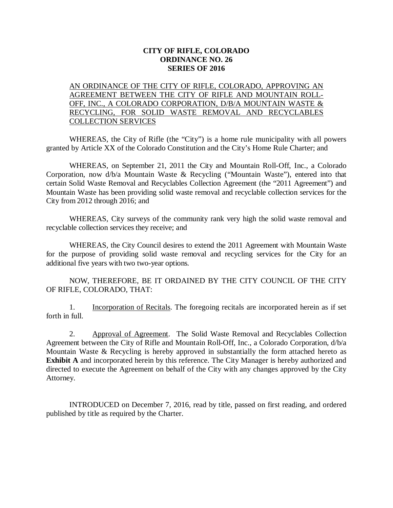## **CITY OF RIFLE, COLORADO ORDINANCE NO. 26 SERIES OF 2016**

## AN ORDINANCE OF THE CITY OF RIFLE, COLORADO, APPROVING AN AGREEMENT BETWEEN THE CITY OF RIFLE AND MOUNTAIN ROLL-OFF, INC., A COLORADO CORPORATION, D/B/A MOUNTAIN WASTE & RECYCLING, FOR SOLID WASTE REMOVAL AND RECYCLABLES COLLECTION SERVICES

WHEREAS, the City of Rifle (the "City") is a home rule municipality with all powers granted by Article XX of the Colorado Constitution and the City's Home Rule Charter; and

WHEREAS, on September 21, 2011 the City and Mountain Roll-Off, Inc., a Colorado Corporation, now d/b/a Mountain Waste & Recycling ("Mountain Waste"), entered into that certain Solid Waste Removal and Recyclables Collection Agreement (the "2011 Agreement") and Mountain Waste has been providing solid waste removal and recyclable collection services for the City from 2012 through 2016; and

WHEREAS, City surveys of the community rank very high the solid waste removal and recyclable collection services they receive; and

WHEREAS, the City Council desires to extend the 2011 Agreement with Mountain Waste for the purpose of providing solid waste removal and recycling services for the City for an additional five years with two two-year options.

NOW, THEREFORE, BE IT ORDAINED BY THE CITY COUNCIL OF THE CITY OF RIFLE, COLORADO, THAT:

1. Incorporation of Recitals. The foregoing recitals are incorporated herein as if set forth in full.

2. Approval of Agreement. The Solid Waste Removal and Recyclables Collection Agreement between the City of Rifle and Mountain Roll-Off, Inc., a Colorado Corporation, d/b/a Mountain Waste & Recycling is hereby approved in substantially the form attached hereto as **Exhibit A** and incorporated herein by this reference. The City Manager is hereby authorized and directed to execute the Agreement on behalf of the City with any changes approved by the City Attorney.

INTRODUCED on December 7, 2016, read by title, passed on first reading, and ordered published by title as required by the Charter.